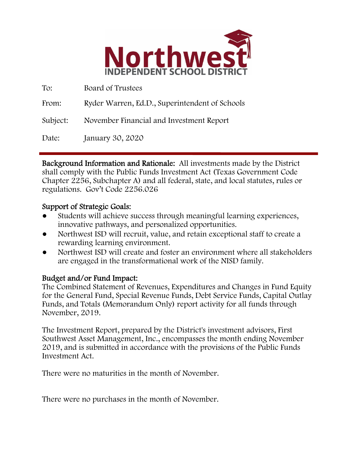

| To:      | Board of Trustees                              |
|----------|------------------------------------------------|
| From:    | Ryder Warren, Ed.D., Superintendent of Schools |
| Subject: | November Financial and Investment Report       |
| Date:    | January 30, 2020                               |

Background Information and Rationale: All investments made by the District shall comply with the Public Funds Investment Act (Texas Government Code Chapter 2256, Subchapter A) and all federal, state, and local statutes, rules or regulations. Gov't Code 2256.026

### Support of Strategic Goals:

- Students will achieve success through meaningful learning experiences, innovative pathways, and personalized opportunities.
- Northwest ISD will recruit, value, and retain exceptional staff to create a rewarding learning environment.
- Northwest ISD will create and foster an environment where all stakeholders are engaged in the transformational work of the NISD family.

### Budget and/or Fund Impact:

The Combined Statement of Revenues, Expenditures and Changes in Fund Equity for the General Fund, Special Revenue Funds, Debt Service Funds, Capital Outlay Funds, and Totals (Memorandum Only) report activity for all funds through November, 2019.

The Investment Report, prepared by the District's investment advisors, First Southwest Asset Management, Inc., encompasses the month ending November 2019, and is submitted in accordance with the provisions of the Public Funds Investment Act.

There were no maturities in the month of November.

There were no purchases in the month of November.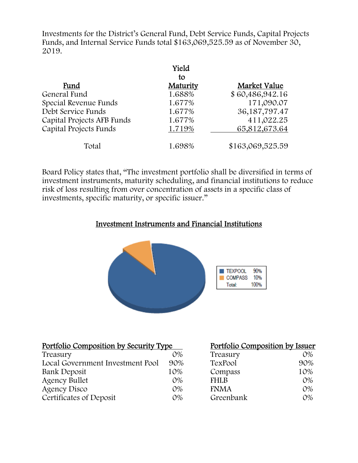Investments for the District's General Fund, Debt Service Funds, Capital Projects Funds, and Internal Service Funds total \$163,069,525.59 as of November 30, 2019.

|                            | Yield          |                  |
|----------------------------|----------------|------------------|
| Fund                       | to<br>Maturity | Market Value     |
| General Fund               | 1.688%         | \$60,486,942.16  |
| Special Revenue Funds      | 1.677%         | 171,090.07       |
| Debt Service Funds         | 1.677%         | 36, 187, 797. 47 |
| Capital Projects AFB Funds | 1.677%         | 411,022.25       |
| Capital Projects Funds     | 1.719%         | 65,812,673.64    |
| Total                      | 1.698%         | \$163,069,525.59 |

Board Policy states that, "The investment portfolio shall be diversified in terms of investment instruments, maturity scheduling, and financial institutions to reduce risk of loss resulting from over concentration of assets in a specific class of investments, specific maturity, or specific issuer."

## Investment Instruments and Financial Institutions



| Portfolio Composition by Security Type |       |             | Portfolio Composition by Issuer |  |
|----------------------------------------|-------|-------------|---------------------------------|--|
| Treasury                               | $O\%$ | Treasury    | $O\%$                           |  |
| Local Government Investment Pool       | 90%   | TexPool     | 90%                             |  |
| Bank Deposit                           | 10%   | Compass     | 10%                             |  |
| <b>Agency Bullet</b>                   | $O\%$ | <b>FHLB</b> | $O\%$                           |  |
| Agency Disco                           | $O\%$ | <b>FNMA</b> | $O\%$                           |  |
| Certificates of Deposit                | $O\%$ | Greenbank   | $O\%$                           |  |

| Portfolio Composition by Issuer |  |  |
|---------------------------------|--|--|
|                                 |  |  |

| Treasury    | $O\%$ |
|-------------|-------|
| TexPool     | 90%   |
| Compass     | 10%   |
| <b>FHLB</b> | $O\%$ |
| <b>FNMA</b> | $O\%$ |
| Greenbank   | $O\%$ |
|             |       |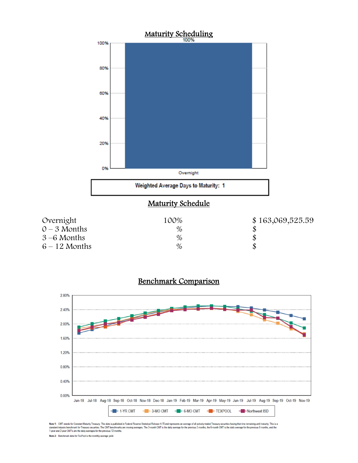



Note 1: CMT stands for Constant Maturiy Treasury. This data is published in Federal Reserve Statistical Release H.15 and represents an average of all actively baded Treasury securities having that time remaining until matu

Note 2: Benchmark data for TexPool is the monthly average yield.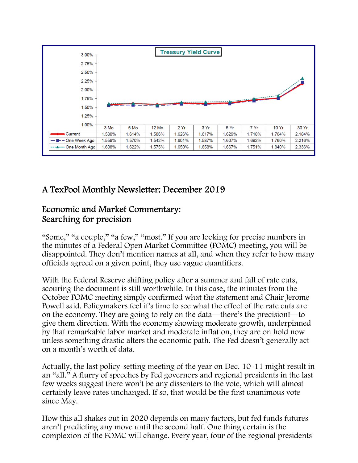

# A TexPool Monthly Newsletter: December 2019

# Economic and Market Commentary: Searching for precision

"Some," "a couple," "a few," "most." If you are looking for precise numbers in the minutes of a Federal Open Market Committee (FOMC) meeting, you will be disappointed. They don't mention names at all, and when they refer to how many officials agreed on a given point, they use vague quantifiers.

With the Federal Reserve shifting policy after a summer and fall of rate cuts, scouring the document is still worthwhile. In this case, the minutes from the October FOMC meeting simply confirmed what the statement and Chair Jerome Powell said. Policymakers feel it's time to see what the effect of the rate cuts are on the economy. They are going to rely on the data—there's the precision!—to give them direction. With the economy showing moderate growth, underpinned by that remarkable labor market and moderate inflation, they are on hold now unless something drastic alters the economic path. The Fed doesn't generally act on a month's worth of data.

Actually, the last policy-setting meeting of the year on Dec. 10-11 might result in an "all." A flurry of speeches by Fed governors and regional presidents in the last few weeks suggest there won't be any dissenters to the vote, which will almost certainly leave rates unchanged. If so, that would be the first unanimous vote since May.

How this all shakes out in 2020 depends on many factors, but fed funds futures aren't predicting any move until the second half. One thing certain is the complexion of the FOMC will change. Every year, four of the regional presidents